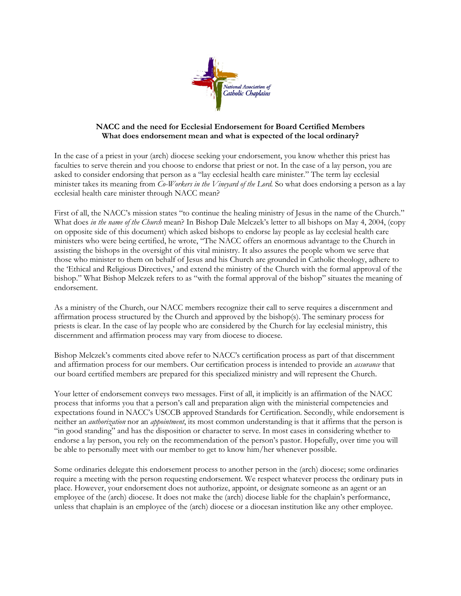

## NACC and the need for Ecclesial Endorsement for Board Certified Members What does endorsement mean and what is expected of the local ordinary?

In the case of a priest in your (arch) diocese seeking your endorsement, you know whether this priest has faculties to serve therein and you choose to endorse that priest or not. In the case of a lay person, you are asked to consider endorsing that person as a "lay ecclesial health care minister." The term lay ecclesial minister takes its meaning from Co-Workers in the Vineyard of the Lord. So what does endorsing a person as a lay ecclesial health care minister through NACC mean?

First of all, the NACC's mission states "to continue the healing ministry of Jesus in the name of the Church." What does in the name of the Church mean? In Bishop Dale Melczek's letter to all bishops on May 4, 2004, (copy on opposite side of this document) which asked bishops to endorse lay people as lay ecclesial health care ministers who were being certified, he wrote, "The NACC offers an enormous advantage to the Church in assisting the bishops in the oversight of this vital ministry. It also assures the people whom we serve that those who minister to them on behalf of Jesus and his Church are grounded in Catholic theology, adhere to the 'Ethical and Religious Directives,' and extend the ministry of the Church with the formal approval of the bishop." What Bishop Melczek refers to as "with the formal approval of the bishop" situates the meaning of endorsement.

As a ministry of the Church, our NACC members recognize their call to serve requires a discernment and affirmation process structured by the Church and approved by the bishop(s). The seminary process for priests is clear. In the case of lay people who are considered by the Church for lay ecclesial ministry, this discernment and affirmation process may vary from diocese to diocese.

Bishop Melczek's comments cited above refer to NACC's certification process as part of that discernment and affirmation process for our members. Our certification process is intended to provide an *assurance* that our board certified members are prepared for this specialized ministry and will represent the Church.

Your letter of endorsement conveys two messages. First of all, it implicitly is an affirmation of the NACC process that informs you that a person's call and preparation align with the ministerial competencies and expectations found in NACC's USCCB approved Standards for Certification. Secondly, while endorsement is neither an *authorization* nor an *appointment*, its most common understanding is that it affirms that the person is "in good standing" and has the disposition or character to serve. In most cases in considering whether to endorse a lay person, you rely on the recommendation of the person's pastor. Hopefully, over time you will be able to personally meet with our member to get to know him/her whenever possible.

Some ordinaries delegate this endorsement process to another person in the (arch) diocese; some ordinaries require a meeting with the person requesting endorsement. We respect whatever process the ordinary puts in place. However, your endorsement does not authorize, appoint, or designate someone as an agent or an employee of the (arch) diocese. It does not make the (arch) diocese liable for the chaplain's performance, unless that chaplain is an employee of the (arch) diocese or a diocesan institution like any other employee.